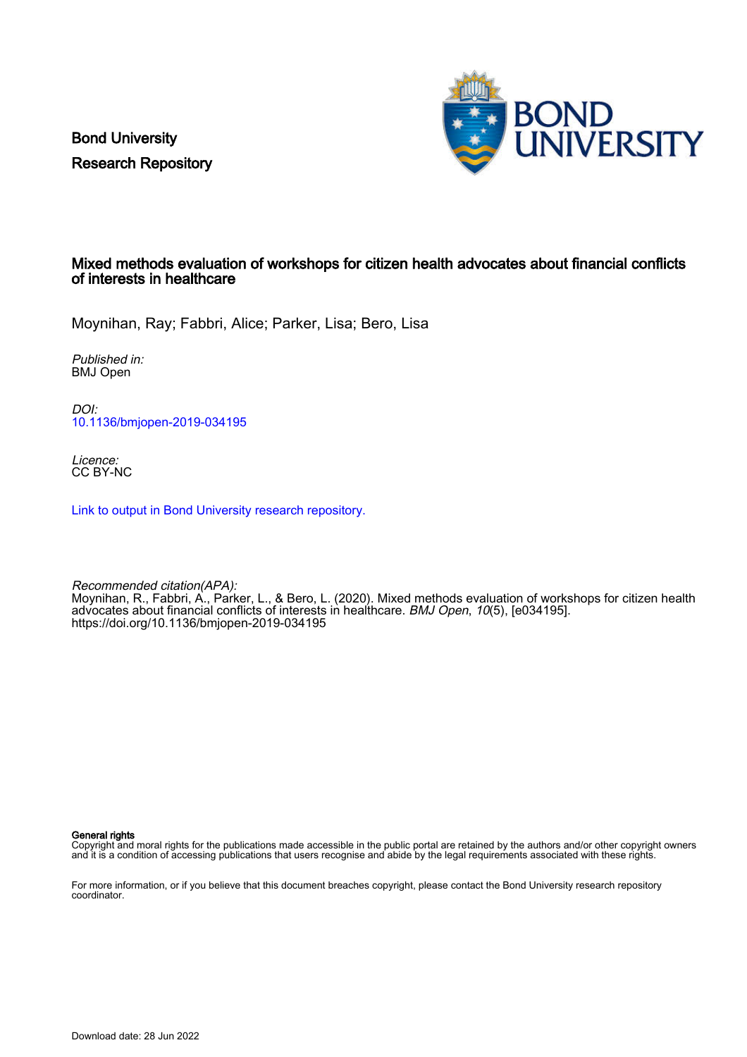Bond University Research Repository



# Mixed methods evaluation of workshops for citizen health advocates about financial conflicts of interests in healthcare

Moynihan, Ray; Fabbri, Alice; Parker, Lisa; Bero, Lisa

Published in: BMJ Open

DOI: [10.1136/bmjopen-2019-034195](https://doi.org/10.1136/bmjopen-2019-034195)

Licence: CC BY-NC

[Link to output in Bond University research repository.](https://research.bond.edu.au/en/publications/e1a64206-832f-4d94-842d-030f6d3e73d0)

Recommended citation(APA): Moynihan, R., Fabbri, A., Parker, L., & Bero, L. (2020). Mixed methods evaluation of workshops for citizen health advocates about financial conflicts of interests in healthcare. BMJ Open, 10(5), [e034195]. <https://doi.org/10.1136/bmjopen-2019-034195>

General rights

Copyright and moral rights for the publications made accessible in the public portal are retained by the authors and/or other copyright owners and it is a condition of accessing publications that users recognise and abide by the legal requirements associated with these rights.

For more information, or if you believe that this document breaches copyright, please contact the Bond University research repository coordinator.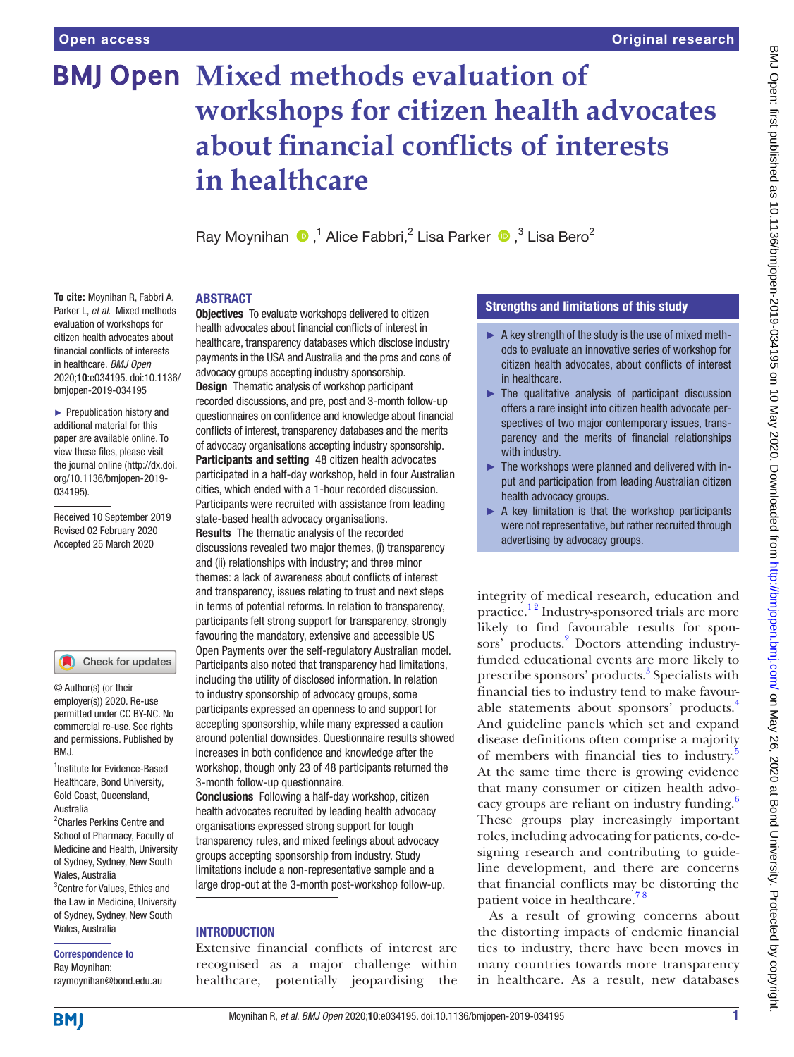# **BMJ Open Mixed methods evaluation of workshops for citizen health advocates about financial conflicts of interests in healthcare**

RayMoynihan  $\bigcirc$ ,<sup>1</sup> Alice Fabbri,<sup>2</sup> Lisa Parker  $\bigcirc$ ,<sup>3</sup> Lisa Bero<sup>2</sup>

## **ABSTRACT**

**To cite:** Moynihan R, Fabbri A, Parker L, *et al*. Mixed methods evaluation of workshops for citizen health advocates about financial conflicts of interests in healthcare. *BMJ Open* 2020;10:e034195. doi:10.1136/ bmjopen-2019-034195

► Prepublication history and additional material for this paper are available online. To view these files, please visit the journal online (http://dx.doi. org/10.1136/bmjopen-2019- 034195).

Received 10 September 2019 Revised 02 February 2020 Accepted 25 March 2020

#### Check for updates

© Author(s) (or their employer(s)) 2020. Re-use permitted under CC BY-NC. No commercial re-use. See rights and permissions. Published by RM<sub>J</sub>

<sup>1</sup>Institute for Evidence-Based Healthcare, Bond University, Gold Coast, Queensland, Australia

2 Charles Perkins Centre and School of Pharmacy, Faculty of Medicine and Health, University of Sydney, Sydney, New South Wales, Australia 3 Centre for Values, Ethics and

the Law in Medicine, University of Sydney, Sydney, New South Wales, Australia

# Correspondence to Ray Moynihan;

raymoynihan@bond.edu.au

**Objectives** To evaluate workshops delivered to citizen health advocates about financial conflicts of interest in healthcare, transparency databases which disclose industry payments in the USA and Australia and the pros and cons of advocacy groups accepting industry sponsorship. Design Thematic analysis of workshop participant recorded discussions, and pre, post and 3-month follow-up questionnaires on confidence and knowledge about financial conflicts of interest, transparency databases and the merits of advocacy organisations accepting industry sponsorship. Participants and setting 48 citizen health advocates participated in a half-day workshop, held in four Australian cities, which ended with a 1-hour recorded discussion. Participants were recruited with assistance from leading state-based health advocacy organisations. Results The thematic analysis of the recorded discussions revealed two major themes, (i) transparency and (ii) relationships with industry; and three minor themes: a lack of awareness about conflicts of interest and transparency, issues relating to trust and next steps

in terms of potential reforms. In relation to transparency, participants felt strong support for transparency, strongly favouring the mandatory, extensive and accessible US Open Payments over the self-regulatory Australian model. Participants also noted that transparency had limitations, including the utility of disclosed information. In relation to industry sponsorship of advocacy groups, some participants expressed an openness to and support for accepting sponsorship, while many expressed a caution around potential downsides. Questionnaire results showed increases in both confidence and knowledge after the workshop, though only 23 of 48 participants returned the 3-month follow-up questionnaire.

Conclusions Following a half-day workshop, citizen health advocates recruited by leading health advocacy organisations expressed strong support for tough transparency rules, and mixed feelings about advocacy groups accepting sponsorship from industry. Study limitations include a non-representative sample and a large drop-out at the 3-month post-workshop follow-up.

## **INTRODUCTION**

Extensive financial conflicts of interest are recognised as a major challenge within healthcare, potentially jeopardising the

# Strengths and limitations of this study

- $\blacktriangleright$  A key strength of the study is the use of mixed methods to evaluate an innovative series of workshop for citizen health advocates, about conflicts of interest in healthcare.
- $\blacktriangleright$  The qualitative analysis of participant discussion offers a rare insight into citizen health advocate perspectives of two major contemporary issues, transparency and the merits of financial relationships with industry.
- ► The workshops were planned and delivered with input and participation from leading Australian citizen health advocacy groups.
- $\triangleright$  A key limitation is that the workshop participants were not representative, but rather recruited through advertising by advocacy groups.

integrity of medical research, education and practice.[1 2](#page-7-0) Industry-sponsored trials are more likely to find favourable results for spon-sors' products.<sup>[2](#page-7-1)</sup> Doctors attending industryfunded educational events are more likely to prescribe sponsors' products.<sup>[3](#page-7-2)</sup> Specialists with financial ties to industry tend to make favourable statements about sponsors' products.<sup>4</sup> And guideline panels which set and expand disease definitions often comprise a majority of members with financial ties to industry.<sup>[5](#page-7-4)</sup> At the same time there is growing evidence that many consumer or citizen health advo-cacy groups are reliant on industry funding.<sup>[6](#page-7-5)</sup> These groups play increasingly important roles, including advocating for patients, co-designing research and contributing to guideline development, and there are concerns that financial conflicts may be distorting the patient voice in healthcare.<sup>78</sup>

As a result of growing concerns about the distorting impacts of endemic financial ties to industry, there have been moves in many countries towards more transparency in healthcare. As a result, new databases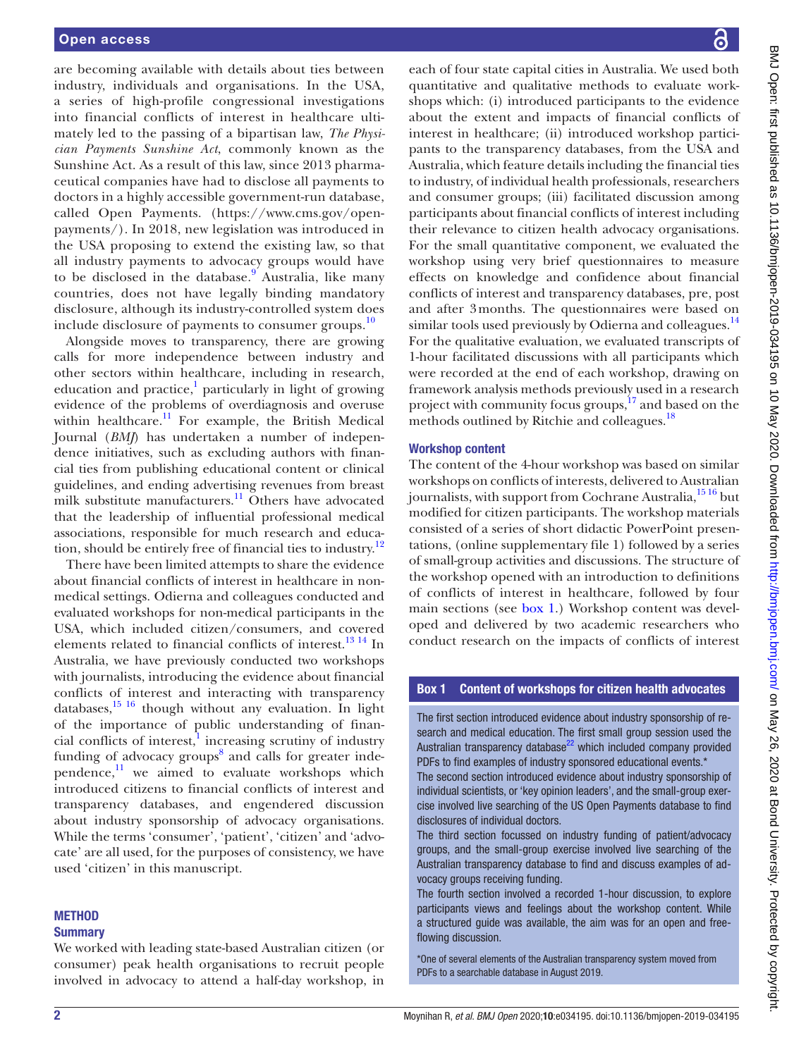are becoming available with details about ties between industry, individuals and organisations. In the USA, a series of high-profile congressional investigations into financial conflicts of interest in healthcare ultimately led to the passing of a bipartisan law, *The Physician Payments Sunshine Act*, commonly known as the Sunshine Act. As a result of this law, since 2013 pharmaceutical companies have had to disclose all payments to doctors in a highly accessible government-run database, called Open Payments. ([https://www.cms.gov/open](https://www.cms.gov/openpayments/)[payments/\)](https://www.cms.gov/openpayments/). In 2018, new legislation was introduced in the USA proposing to extend the existing law, so that all industry payments to advocacy groups would have to be disclosed in the database.<sup>[9](#page-7-8)</sup> Australia, like many countries, does not have legally binding mandatory disclosure, although its industry-controlled system does include disclosure of payments to consumer groups.<sup>[10](#page-7-9)</sup>

Alongside moves to transparency, there are growing calls for more independence between industry and other sectors within healthcare, including in research, education and practice,<sup>[1](#page-7-0)</sup> particularly in light of growing evidence of the problems of overdiagnosis and overuse within healthcare.<sup>11</sup> For example, the British Medical Journal (*BMJ*) has undertaken a number of independence initiatives, such as excluding authors with financial ties from publishing educational content or clinical guidelines, and ending advertising revenues from breast milk substitute manufacturers.<sup>11</sup> Others have advocated that the leadership of influential professional medical associations, responsible for much research and education, should be entirely free of financial ties to industry.[12](#page-7-11)

There have been limited attempts to share the evidence about financial conflicts of interest in healthcare in nonmedical settings. Odierna and colleagues conducted and evaluated workshops for non-medical participants in the USA, which included citizen/consumers, and covered elements related to financial conflicts of interest.<sup>13 14</sup> In Australia, we have previously conducted two workshops with journalists, introducing the evidence about financial conflicts of interest and interacting with transparency databases,<sup>15 16</sup> though without any evaluation. In light of the importance of public understanding of financial conflicts of interest, $\frac{1}{1}$  increasing scrutiny of industry funding of advocacy groups<sup>8</sup> and calls for greater independence, $\frac{11}{1}$  $\frac{11}{1}$  $\frac{11}{1}$  we aimed to evaluate workshops which introduced citizens to financial conflicts of interest and transparency databases, and engendered discussion about industry sponsorship of advocacy organisations. While the terms 'consumer', 'patient', 'citizen' and 'advocate' are all used, for the purposes of consistency, we have used 'citizen' in this manuscript.

## **METHOD**

#### **Summary**

We worked with leading state-based Australian citizen (or consumer) peak health organisations to recruit people involved in advocacy to attend a half-day workshop, in

each of four state capital cities in Australia. We used both quantitative and qualitative methods to evaluate workshops which: (i) introduced participants to the evidence about the extent and impacts of financial conflicts of interest in healthcare; (ii) introduced workshop participants to the transparency databases, from the USA and Australia, which feature details including the financial ties to industry, of individual health professionals, researchers and consumer groups; (iii) facilitated discussion among participants about financial conflicts of interest including their relevance to citizen health advocacy organisations. For the small quantitative component, we evaluated the workshop using very brief questionnaires to measure effects on knowledge and confidence about financial conflicts of interest and transparency databases, pre, post and after 3months. The questionnaires were based on similar tools used previously by Odierna and colleagues. $^{14}$  $^{14}$  $^{14}$ For the qualitative evaluation, we evaluated transcripts of 1-hour facilitated discussions with all participants which were recorded at the end of each workshop, drawing on framework analysis methods previously used in a research project with community focus groups, $17$  and based on the methods outlined by Ritchie and colleagues.<sup>[18](#page-7-17)</sup>

## Workshop content

The content of the 4-hour workshop was based on similar workshops on conflicts of interests, delivered to Australian journalists, with support from Cochrane Australia,<sup>1516</sup> but modified for citizen participants. The workshop materials consisted of a series of short didactic PowerPoint presentations, ([online supplementary file 1\)](https://dx.doi.org/10.1136/bmjopen-2019-034195) followed by a series of small-group activities and discussions. The structure of the workshop opened with an introduction to definitions of conflicts of interest in healthcare, followed by four main sections (see [box](#page-2-0) 1.) Workshop content was developed and delivered by two academic researchers who conduct research on the impacts of conflicts of interest

## Box 1 Content of workshops for citizen health advocates

<span id="page-2-0"></span>The first section introduced evidence about industry sponsorship of research and medical education. The first small group session used the Australian transparency database<sup>22</sup> which included company provided PDFs to find examples of industry sponsored educational events.\*

The second section introduced evidence about industry sponsorship of individual scientists, or 'key opinion leaders', and the small-group exercise involved live searching of the US Open Payments database to find disclosures of individual doctors.

The third section focussed on industry funding of patient/advocacy groups, and the small-group exercise involved live searching of the Australian transparency database to find and discuss examples of advocacy groups receiving funding.

The fourth section involved a recorded 1-hour discussion, to explore participants views and feelings about the workshop content. While a structured guide was available, the aim was for an open and freeflowing discussion.

\*One of several elements of the Australian transparency system moved from PDFs to a searchable database in August 2019.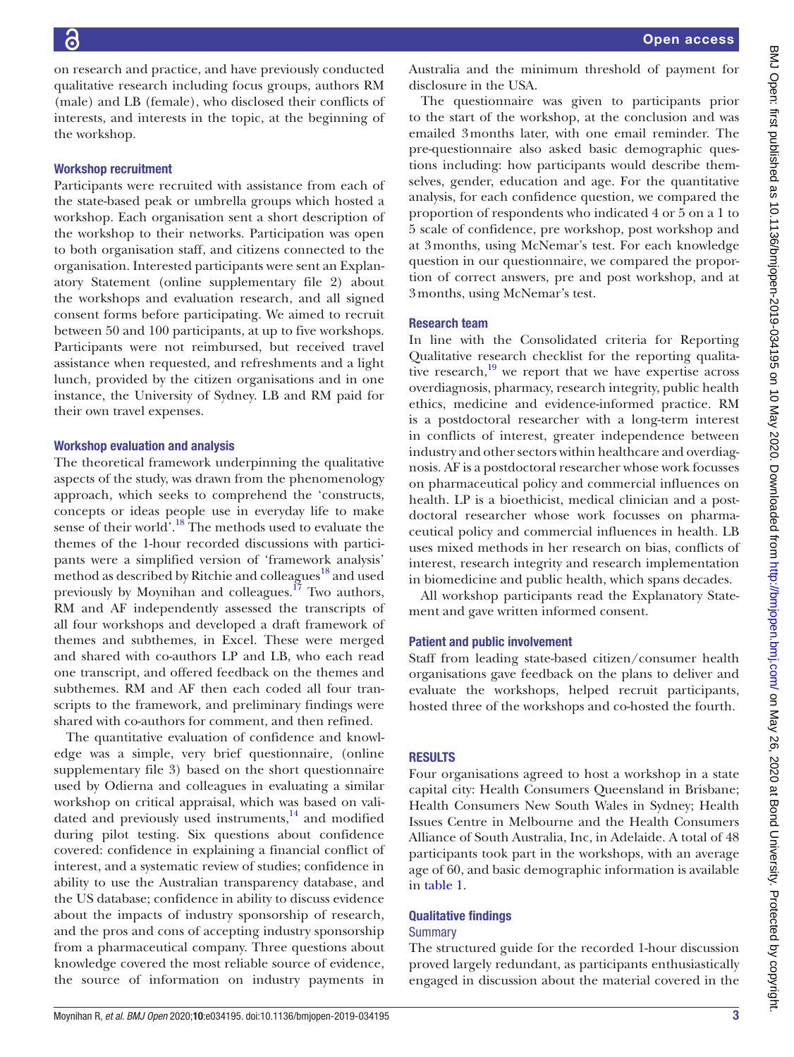on research and practice, and have previously conducted qualitative research including focus groups, authors RM (male) and LB (female), who disclosed their conflicts of interests, and interests in the topic, at the beginning of the workshop.

## Workshop recruitment

Participants were recruited with assistance from each of the state-based peak or umbrella groups which hosted a workshop. Each organisation sent a short description of the workshop to their networks. Participation was open to both organisation staff, and citizens connected to the organisation. Interested participants were sent an Explanatory Statement [\(online supplementary file 2\)](https://dx.doi.org/10.1136/bmjopen-2019-034195) about the workshops and evaluation research, and all signed consent forms before participating. We aimed to recruit between 50 and 100 participants, at up to five workshops. Participants were not reimbursed, but received travel assistance when requested, and refreshments and a light lunch, provided by the citizen organisations and in one instance, the University of Sydney. LB and RM paid for their own travel expenses.

## Workshop evaluation and analysis

The theoretical framework underpinning the qualitative aspects of the study, was drawn from the phenomenology approach, which seeks to comprehend the 'constructs, concepts or ideas people use in everyday life to make sense of their world'.<sup>[18](#page-7-17)</sup> The methods used to evaluate the themes of the 1-hour recorded discussions with participants were a simplified version of 'framework analysis' method as described by Ritchie and colleagues<sup>18</sup> and used previously by Moynihan and colleagues.<sup>17</sup> Two authors, RM and AF independently assessed the transcripts of all four workshops and developed a draft framework of themes and subthemes, in Excel. These were merged and shared with co-authors LP and LB, who each read one transcript, and offered feedback on the themes and subthemes. RM and AF then each coded all four transcripts to the framework, and preliminary findings were shared with co-authors for comment, and then refined.

The quantitative evaluation of confidence and knowledge was a simple, very brief questionnaire, [\(online](https://dx.doi.org/10.1136/bmjopen-2019-034195) [supplementary file 3\)](https://dx.doi.org/10.1136/bmjopen-2019-034195) based on the short questionnaire used by Odierna and colleagues in evaluating a similar workshop on critical appraisal, which was based on validated and previously used instruments, $14$  and modified during pilot testing. Six questions about confidence covered: confidence in explaining a financial conflict of interest, and a systematic review of studies; confidence in ability to use the Australian transparency database, and the US database; confidence in ability to discuss evidence about the impacts of industry sponsorship of research, and the pros and cons of accepting industry sponsorship from a pharmaceutical company. Three questions about knowledge covered the most reliable source of evidence, the source of information on industry payments in

Australia and the minimum threshold of payment for disclosure in the USA.

The questionnaire was given to participants prior to the start of the workshop, at the conclusion and was emailed 3months later, with one email reminder. The pre-questionnaire also asked basic demographic questions including: how participants would describe themselves, gender, education and age. For the quantitative analysis, for each confidence question, we compared the proportion of respondents who indicated 4 or 5 on a 1 to 5 scale of confidence, pre workshop, post workshop and at 3months, using McNemar's test. For each knowledge question in our questionnaire, we compared the proportion of correct answers, pre and post workshop, and at 3months, using McNemar's test.

## Research team

In line with the Consolidated criteria for Reporting Qualitative research checklist for the reporting qualitative research, $19$  we report that we have expertise across overdiagnosis, pharmacy, research integrity, public health ethics, medicine and evidence-informed practice. RM is a postdoctoral researcher with a long-term interest in conflicts of interest, greater independence between industry and other sectors within healthcare and overdiagnosis. AF is a postdoctoral researcher whose work focusses on pharmaceutical policy and commercial influences on health. LP is a bioethicist, medical clinician and a postdoctoral researcher whose work focusses on pharmaceutical policy and commercial influences in health. LB uses mixed methods in her research on bias, conflicts of interest, research integrity and research implementation in biomedicine and public health, which spans decades.

All workshop participants read the Explanatory Statement and gave written informed consent.

## Patient and public involvement

Staff from leading state-based citizen/consumer health organisations gave feedback on the plans to deliver and evaluate the workshops, helped recruit participants, hosted three of the workshops and co-hosted the fourth.

## **RESULTS**

Four organisations agreed to host a workshop in a state capital city: Health Consumers Queensland in Brisbane; Health Consumers New South Wales in Sydney; Health Issues Centre in Melbourne and the Health Consumers Alliance of South Australia, Inc, in Adelaide. A total of 48 participants took part in the workshops, with an average age of 60, and basic demographic information is available in [table](#page-4-0) 1.

# Qualitative findings

# **Summary**

The structured guide for the recorded 1-hour discussion proved largely redundant, as participants enthusiastically engaged in discussion about the material covered in the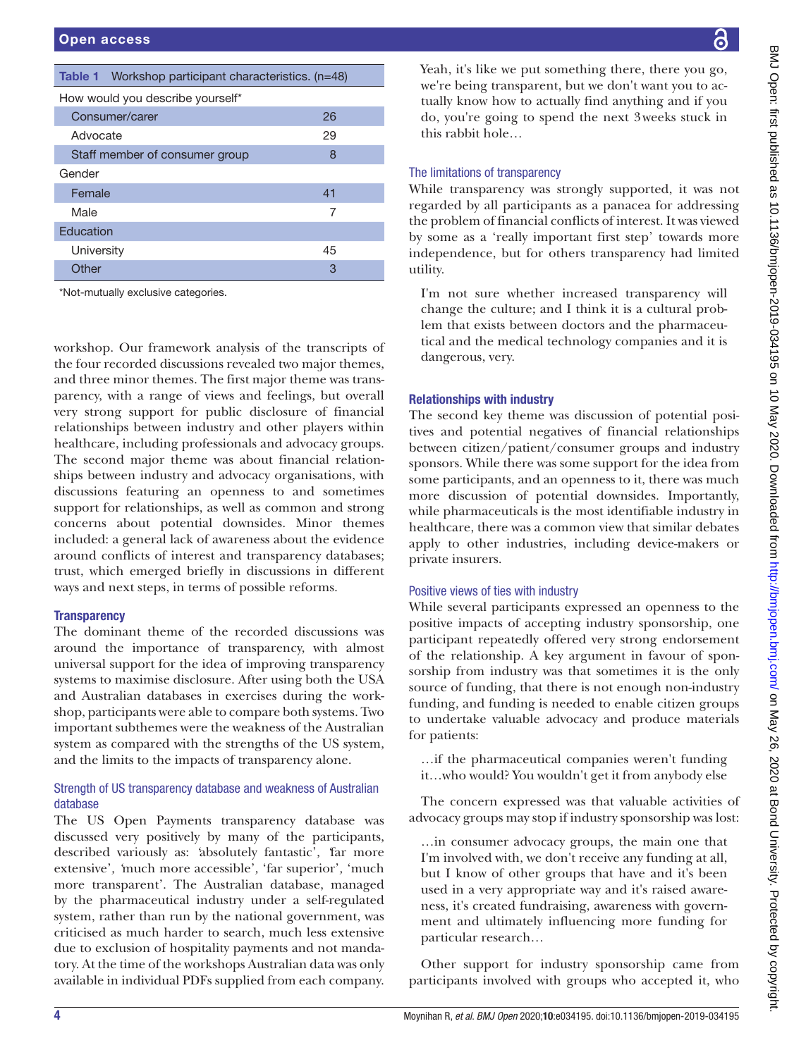<span id="page-4-0"></span>

| Table 1 Workshop participant characteristics. (n=48) |    |
|------------------------------------------------------|----|
| How would you describe yourself*                     |    |
| Consumer/carer                                       | 26 |
| Advocate                                             | 29 |
| Staff member of consumer group                       | 8  |
| Gender                                               |    |
| Female                                               | 41 |
| Male                                                 | 7  |
| Education                                            |    |
| University                                           | 45 |
| Other                                                | З  |

\*Not-mutually exclusive categories.

workshop. Our framework analysis of the transcripts of the four recorded discussions revealed two major themes, and three minor themes. The first major theme was transparency, with a range of views and feelings, but overall very strong support for public disclosure of financial relationships between industry and other players within healthcare, including professionals and advocacy groups. The second major theme was about financial relationships between industry and advocacy organisations, with discussions featuring an openness to and sometimes support for relationships, as well as common and strong concerns about potential downsides. Minor themes included: a general lack of awareness about the evidence around conflicts of interest and transparency databases; trust, which emerged briefly in discussions in different ways and next steps, in terms of possible reforms.

## **Transparency**

The dominant theme of the recorded discussions was around the importance of transparency, with almost universal support for the idea of improving transparency systems to maximise disclosure. After using both the USA and Australian databases in exercises during the workshop, participants were able to compare both systems. Two important subthemes were the weakness of the Australian system as compared with the strengths of the US system, and the limits to the impacts of transparency alone.

## Strength of US transparency database and weakness of Australian database

The US Open Payments transparency database was discussed very positively by many of the participants, described variously as: *'*absolutely fantastic'*, '*far more extensive'*, '*much more accessible'*,* 'far superior'*,* 'much more transparent'. The Australian database, managed by the pharmaceutical industry under a self-regulated system, rather than run by the national government, was criticised as much harder to search, much less extensive due to exclusion of hospitality payments and not mandatory. At the time of the workshops Australian data was only available in individual PDFs supplied from each company. Yeah, it's like we put something there, there you go, we're being transparent, but we don't want you to actually know how to actually find anything and if you do, you're going to spend the next 3weeks stuck in this rabbit hole…

## The limitations of transparency

While transparency was strongly supported, it was not regarded by all participants as a panacea for addressing the problem of financial conflicts of interest. It was viewed by some as a 'really important first step' towards more independence, but for others transparency had limited utility.

I'm not sure whether increased transparency will change the culture; and I think it is a cultural problem that exists between doctors and the pharmaceutical and the medical technology companies and it is dangerous, very.

## Relationships with industry

The second key theme was discussion of potential positives and potential negatives of financial relationships between citizen/patient/consumer groups and industry sponsors. While there was some support for the idea from some participants, and an openness to it, there was much more discussion of potential downsides. Importantly, while pharmaceuticals is the most identifiable industry in healthcare, there was a common view that similar debates apply to other industries, including device-makers or private insurers.

## Positive views of ties with industry

While several participants expressed an openness to the positive impacts of accepting industry sponsorship, one participant repeatedly offered very strong endorsement of the relationship. A key argument in favour of sponsorship from industry was that sometimes it is the only source of funding, that there is not enough non-industry funding, and funding is needed to enable citizen groups to undertake valuable advocacy and produce materials for patients:

…if the pharmaceutical companies weren't funding it…who would? You wouldn't get it from anybody else

The concern expressed was that valuable activities of advocacy groups may stop if industry sponsorship was lost:

…in consumer advocacy groups, the main one that I'm involved with, we don't receive any funding at all, but I know of other groups that have and it's been used in a very appropriate way and it's raised awareness, it's created fundraising, awareness with government and ultimately influencing more funding for particular research…

Other support for industry sponsorship came from participants involved with groups who accepted it, who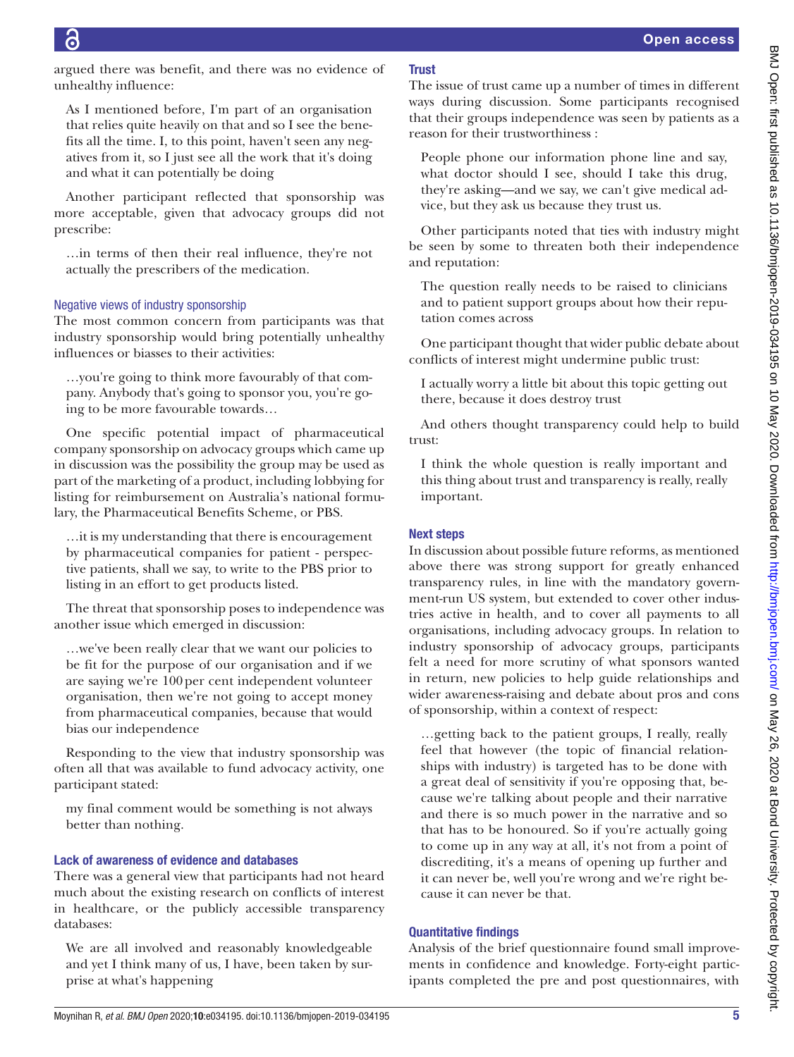argued there was benefit, and there was no evidence of unhealthy influence:

As I mentioned before, I'm part of an organisation that relies quite heavily on that and so I see the benefits all the time. I, to this point, haven't seen any negatives from it, so I just see all the work that it's doing and what it can potentially be doing

Another participant reflected that sponsorship was more acceptable, given that advocacy groups did not prescribe:

…in terms of then their real influence, they're not actually the prescribers of the medication.

## Negative views of industry sponsorship

The most common concern from participants was that industry sponsorship would bring potentially unhealthy influences or biasses to their activities:

…you're going to think more favourably of that company. Anybody that's going to sponsor you, you're going to be more favourable towards…

One specific potential impact of pharmaceutical company sponsorship on advocacy groups which came up in discussion was the possibility the group may be used as part of the marketing of a product, including lobbying for listing for reimbursement on Australia's national formulary, the Pharmaceutical Benefits Scheme, or PBS.

…it is my understanding that there is encouragement by pharmaceutical companies for patient - perspective patients, shall we say, to write to the PBS prior to listing in an effort to get products listed.

The threat that sponsorship poses to independence was another issue which emerged in discussion:

…we've been really clear that we want our policies to be fit for the purpose of our organisation and if we are saying we're 100 per cent independent volunteer organisation, then we're not going to accept money from pharmaceutical companies, because that would bias our independence

Responding to the view that industry sponsorship was often all that was available to fund advocacy activity, one participant stated:

my final comment would be something is not always better than nothing.

## Lack of awareness of evidence and databases

There was a general view that participants had not heard much about the existing research on conflicts of interest in healthcare, or the publicly accessible transparency databases:

We are all involved and reasonably knowledgeable and yet I think many of us, I have, been taken by surprise at what's happening

## **Trust**

The issue of trust came up a number of times in different ways during discussion. Some participants recognised that their groups independence was seen by patients as a reason for their trustworthiness :

People phone our information phone line and say, what doctor should I see, should I take this drug, they're asking—and we say, we can't give medical advice, but they ask us because they trust us.

Other participants noted that ties with industry might be seen by some to threaten both their independence and reputation:

The question really needs to be raised to clinicians and to patient support groups about how their reputation comes across

One participant thought that wider public debate about conflicts of interest might undermine public trust:

I actually worry a little bit about this topic getting out there, because it does destroy trust

And others thought transparency could help to build trust:

I think the whole question is really important and this thing about trust and transparency is really, really important.

## Next steps

In discussion about possible future reforms, as mentioned above there was strong support for greatly enhanced transparency rules, in line with the mandatory government-run US system, but extended to cover other industries active in health, and to cover all payments to all organisations, including advocacy groups. In relation to industry sponsorship of advocacy groups, participants felt a need for more scrutiny of what sponsors wanted in return, new policies to help guide relationships and wider awareness-raising and debate about pros and cons of sponsorship, within a context of respect:

…getting back to the patient groups, I really, really feel that however (the topic of financial relationships with industry) is targeted has to be done with a great deal of sensitivity if you're opposing that, because we're talking about people and their narrative and there is so much power in the narrative and so that has to be honoured. So if you're actually going to come up in any way at all, it's not from a point of discrediting, it's a means of opening up further and it can never be, well you're wrong and we're right because it can never be that.

## Quantitative findings

Analysis of the brief questionnaire found small improvements in confidence and knowledge. Forty-eight participants completed the pre and post questionnaires, with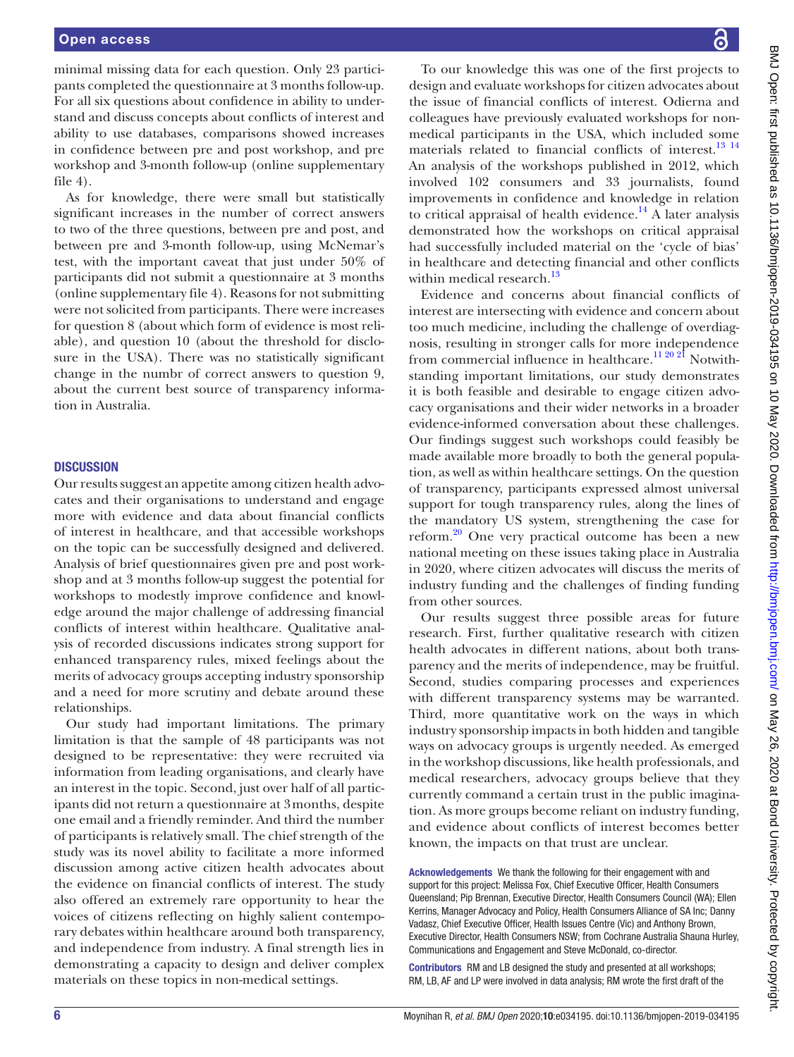minimal missing data for each question. Only 23 participants completed the questionnaire at 3 months follow-up. For all six questions about confidence in ability to understand and discuss concepts about conflicts of interest and ability to use databases, comparisons showed increases in confidence between pre and post workshop, and pre workshop and 3-month follow-up ([online supplementary](https://dx.doi.org/10.1136/bmjopen-2019-034195) [file 4](https://dx.doi.org/10.1136/bmjopen-2019-034195)).

As for knowledge, there were small but statistically significant increases in the number of correct answers to two of the three questions, between pre and post, and between pre and 3-month follow-up, using McNemar's test, with the important caveat that just under 50% of participants did not submit a questionnaire at 3 months ([online supplementary file 4](https://dx.doi.org/10.1136/bmjopen-2019-034195)). Reasons for not submitting were not solicited from participants. There were increases for question 8 (about which form of evidence is most reliable), and question 10 (about the threshold for disclosure in the USA). There was no statistically significant change in the numbr of correct answers to question 9, about the current best source of transparency information in Australia.

## **DISCUSSION**

Our results suggest an appetite among citizen health advocates and their organisations to understand and engage more with evidence and data about financial conflicts of interest in healthcare, and that accessible workshops on the topic can be successfully designed and delivered. Analysis of brief questionnaires given pre and post workshop and at 3 months follow-up suggest the potential for workshops to modestly improve confidence and knowledge around the major challenge of addressing financial conflicts of interest within healthcare. Qualitative analysis of recorded discussions indicates strong support for enhanced transparency rules, mixed feelings about the merits of advocacy groups accepting industry sponsorship and a need for more scrutiny and debate around these relationships.

Our study had important limitations. The primary limitation is that the sample of 48 participants was not designed to be representative: they were recruited via information from leading organisations, and clearly have an interest in the topic. Second, just over half of all participants did not return a questionnaire at 3months, despite one email and a friendly reminder. And third the number of participants is relatively small. The chief strength of the study was its novel ability to facilitate a more informed discussion among active citizen health advocates about the evidence on financial conflicts of interest. The study also offered an extremely rare opportunity to hear the voices of citizens reflecting on highly salient contemporary debates within healthcare around both transparency, and independence from industry. A final strength lies in demonstrating a capacity to design and deliver complex materials on these topics in non-medical settings.

To our knowledge this was one of the first projects to design and evaluate workshops for citizen advocates about the issue of financial conflicts of interest. Odierna and colleagues have previously evaluated workshops for nonmedical participants in the USA, which included some materials related to financial conflicts of interest.<sup>13</sup> <sup>14</sup> An analysis of the workshops published in 2012, which involved 102 consumers and 33 journalists, found improvements in confidence and knowledge in relation to critical appraisal of health evidence.<sup>14</sup> A later analysis demonstrated how the workshops on critical appraisal had successfully included material on the 'cycle of bias' in healthcare and detecting financial and other conflicts within medical research.<sup>13</sup>

Evidence and concerns about financial conflicts of interest are intersecting with evidence and concern about too much medicine, including the challenge of overdiagnosis, resulting in stronger calls for more independence from commercial influence in healthcare.<sup>11 20 21</sup> Notwithstanding important limitations, our study demonstrates it is both feasible and desirable to engage citizen advocacy organisations and their wider networks in a broader evidence-informed conversation about these challenges. Our findings suggest such workshops could feasibly be made available more broadly to both the general population, as well as within healthcare settings. On the question of transparency, participants expressed almost universal support for tough transparency rules, along the lines of the mandatory US system, strengthening the case for reform.[20](#page-7-19) One very practical outcome has been a new national meeting on these issues taking place in Australia in 2020, where citizen advocates will discuss the merits of industry funding and the challenges of finding funding from other sources.

Our results suggest three possible areas for future research. First, further qualitative research with citizen health advocates in different nations, about both transparency and the merits of independence, may be fruitful. Second, studies comparing processes and experiences with different transparency systems may be warranted. Third, more quantitative work on the ways in which industry sponsorship impacts in both hidden and tangible ways on advocacy groups is urgently needed. As emerged in the workshop discussions, like health professionals, and medical researchers, advocacy groups believe that they currently command a certain trust in the public imagination. As more groups become reliant on industry funding, and evidence about conflicts of interest becomes better known, the impacts on that trust are unclear.

Acknowledgements We thank the following for their engagement with and support for this project: Melissa Fox, Chief Executive Officer, Health Consumers Queensland; Pip Brennan, Executive Director, Health Consumers Council (WA); Ellen Kerrins, Manager Advocacy and Policy, Health Consumers Alliance of SA Inc; Danny Vadasz, Chief Executive Officer, Health Issues Centre (Vic) and Anthony Brown, Executive Director, Health Consumers NSW; from Cochrane Australia Shauna Hurley, Communications and Engagement and Steve McDonald, co-director.

Contributors RM and LB designed the study and presented at all workshops; RM, LB, AF and LP were involved in data analysis; RM wrote the first draft of the